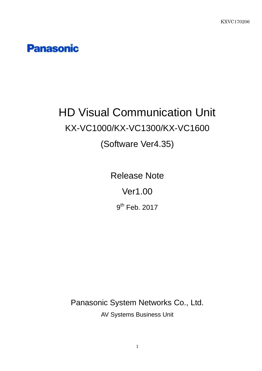## **Panasonic**

# HD Visual Communication Unit KX-VC1000/KX-VC1300/KX-VC1600

## (Software Ver4.35)

Release Note Ver1.00

9<sup>th</sup> Feb. 2017

Panasonic System Networks Co., Ltd. AV Systems Business Unit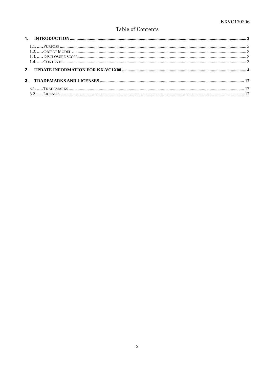#### Table of Contents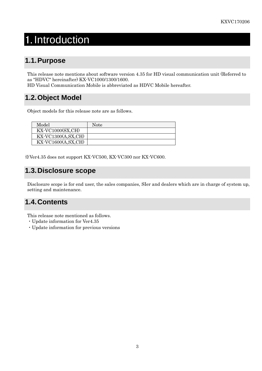## 1. Introduction

## **1.1. Purpose**

This release note mentions about software version 4.35 for HD visual communication unit (Referred to as "HDVC" hereinafter) KX-VC1000/1300/1600.

HD Visual Communication Mobile is abbreviated as HDVC Mobile hereafter.

### **1.2. Object Model**

Object models for this release note are as follows.

| Model                                    | Note |
|------------------------------------------|------|
| $\overline{\text{KX-VC1000(SX,CH)}}$     |      |
| $\overline{KX\text{-}VC1300(A, SX, CH)}$ |      |
| $\overline{\text{KX-VC}}$ 1600(A,SX,CH)  |      |

※Ver4.35 does not support KX-VC500, KX-VC300 nor KX-VC600.

### **1.3. Disclosure scope**

Disclosure scope is for end user, the sales companies, SIer and dealers which are in charge of system up, setting and maintenance.

### **1.4. Contents**

This release note mentioned as follows.

- ・Update information for Ver4.35
- ・Update information for previous versions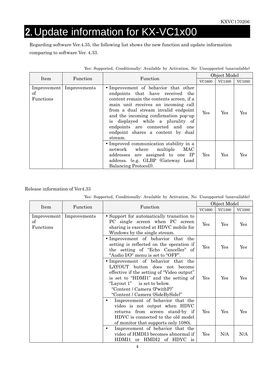## 2. Update information for KX-VC1x00

Regarding software Ver.4.35, the following list shows the new function and update information comparing to software Ver. 4.33.

|                 |                            |                                                                                                                                                                                                                                                                                                                                                                    |        | Object Model  |        |
|-----------------|----------------------------|--------------------------------------------------------------------------------------------------------------------------------------------------------------------------------------------------------------------------------------------------------------------------------------------------------------------------------------------------------------------|--------|---------------|--------|
| Item            | Function                   | Function                                                                                                                                                                                                                                                                                                                                                           | VC1600 | <b>VC1300</b> | VC1000 |
| of<br>Functions | Improvement   Improvements | • Improvement of behavior that other<br>endpoints that have received the<br>content remain the contents screen, if a<br>main unit receives an incoming call<br>from a dual stream invalid endpoint<br>and the incoming confirmation pop-up<br>is displayed while a plurality of<br>endpoints are connected and one<br>endpoint shares a content by dual<br>stream. | Yes    | Yes           | Yes    |
|                 |                            | • Improved communication stability in a<br>network where multiple<br>MAC<br>addresses are assigned to one IP<br>address. (e.g. GLBP (Gateway Load<br>Balancing Protocol).                                                                                                                                                                                          | Yes    | Yes           | Yes    |

| Yes: Supported, Conditionally: Available by Activation, No: Unsupported (unavailable) |  |  |  |  |  |  |
|---------------------------------------------------------------------------------------|--|--|--|--|--|--|
|---------------------------------------------------------------------------------------|--|--|--|--|--|--|

|                                |              | Function                                                                                                                                                                                                                                                   |     | Object Model |                      |  |
|--------------------------------|--------------|------------------------------------------------------------------------------------------------------------------------------------------------------------------------------------------------------------------------------------------------------------|-----|--------------|----------------------|--|
| Item                           | Function     |                                                                                                                                                                                                                                                            |     | VC1300       | <b>VC1000</b>        |  |
| Improvement<br>of<br>Functions | Improvements | • Support for automatically transition to<br>PC single screen when PC screen<br>sharing is executed at HDVC mobile for<br>Windows by the single stream.                                                                                                    | Yes | Yes          | $\operatorname{Yes}$ |  |
|                                |              | • Improvement of behavior that the<br>setting is reflected on the operation if<br>the setting of "Echo Canceller" of<br>"Audio I/O" menu is set to "OFF".                                                                                                  | Yes | Yes          | $\operatorname{Yes}$ |  |
|                                |              | • Improvement of behavior that the<br>LAYOUT button does not become<br>effective if the setting of "Video output"<br>is set to "HDMI1" and the setting of<br>"Layout 1" is set to below.<br>"Content / Camera (PwithP)"<br>"Content / Camera (SideBySide)" | Yes | Yes          | Yes                  |  |
|                                |              | Improvement of behavior that the<br>٠<br>video is not output when HDVC<br>returns from screen stand-by if<br>HDVC is connected to the old model<br>of monitor that supports only 1080i.                                                                    | Yes | Yes          | Yes                  |  |
|                                |              | Improvement of behavior that the<br>$\bullet$<br>video of HMDI3 becomes abnormal if<br>HDMI1 or HMDI2 of HDVC is                                                                                                                                           | Yes | N/A          | N/A                  |  |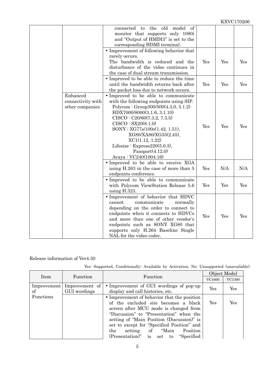|                                                  | the old<br>model<br><sub>of</sub><br>connected to<br>monitor that supports only 1080i<br>and "Output of HMDI3" is set to the<br>corresponding HDMI terminal.                                                                                                                                                                                                                    |     |     |     |
|--------------------------------------------------|---------------------------------------------------------------------------------------------------------------------------------------------------------------------------------------------------------------------------------------------------------------------------------------------------------------------------------------------------------------------------------|-----|-----|-----|
|                                                  | • Improvement of following behavior that<br>rarely occurs.<br>The bandwidth is reduced and the<br>disturbance of the video continues in<br>the case of dual stream transmission.                                                                                                                                                                                                | Yes | Yes | Yes |
|                                                  | • Improved to be able to reduce the time<br>until the bandwidth returns back after<br>the packet loss due to network occurs.                                                                                                                                                                                                                                                    | Yes | Yes | Yes |
| Enhanced<br>connectivity with<br>other companies | • Improved to be able to communicate<br>with the following endpoints using SIP.<br>Polycom : Group $300/500(4.3.0, 5.1.2)$<br>HDX7000/8000(3.1.6, 3.1.10)<br>CISCO: C20/60(7.3.2, 7.3.5)<br>CISCO : SX20(8.1.0)<br>SONY : XG77s/100s(1.42, 1.51),<br>XG80/XA80/XG55(2.45),<br>XCl(1.12, 1.22)<br>Lifesize : Express $220(5.0.3)$ ,<br>Passport(4.12.0)<br>Avaya: VC240(1004.16) | Yes | Yes | Yes |
|                                                  | • Improved to be able to receive XGA<br>using H.263 in the case of more than 5<br>endpoints conference.                                                                                                                                                                                                                                                                         | Yes | N/A | N/A |
|                                                  | • Improved to be able to communicate<br>with Polycom ViewStation Release 5.6<br>using $H.323$ .                                                                                                                                                                                                                                                                                 | Yes | Yes | Yes |
|                                                  | • Improvement of behavior that HDVC<br>communicate<br>normally<br>cannot<br>depending on the order to connect to<br>endpoints when it connects to HDVCs<br>and more than one of other vendor's<br>endpoints such as SONY XG80 that<br>supports only H.264 Baseline Single<br>NAL for the video codec.                                                                           | Yes | Yes | Yes |

Yes: Supported, Conditionally: Available by Activation, No: Unsupported (unavailable)

|                   |                                |                                                                                                                                                                                                                                                                                                                                                         | Object Model |        |
|-------------------|--------------------------------|---------------------------------------------------------------------------------------------------------------------------------------------------------------------------------------------------------------------------------------------------------------------------------------------------------------------------------------------------------|--------------|--------|
| Item              | Function                       | Function                                                                                                                                                                                                                                                                                                                                                | VC1600       | VC1300 |
| Improvement<br>of | Improvement of<br>GUI wordings | • Improvement of GUI wordings of pop-up<br>display and call histories, etc.                                                                                                                                                                                                                                                                             | Yes          | Yes    |
| Functions         |                                | • Improvement of behavior that the position<br>of the excluded site becomes a black<br>screen after MCU mode is changed from<br>"Discussion" to "Presentation" when the<br>setting of "Main Position (Discussion)" is<br>set to except for "Specified Position" and<br>setting of "Main Position"<br>the<br>$(Presentation)$ " is set to<br>"Specified" | Yes          | Yes    |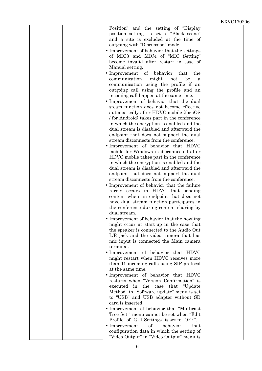| Position" and the setting of "Display"<br>position setting" is set to "Black scene"<br>and a site is excluded at the time of<br>outgoing with "Discussion" mode.<br>• Improvement of behavior that the settings<br>of MIC3 and MIC4 of "MIC Setting"<br>become invalid after restart in case of<br>Manual setting.<br>• Improvement of behavior that<br>the<br>communication<br>might<br>be<br>not<br>a<br>communication using the profile if an<br>outgoing call using the profile and an<br>incoming call happen at the same time.<br>• Improvement of behavior that the dual<br>steam function does not become effective<br>automatically after HDVC mobile (for iOS<br>/ for Android) takes part in the conference<br>in which the encryption is enabled and the<br>dual stream is disabled and afterward the<br>endpoint that does not support the dual<br>stream disconnects from the conference.<br>• Improvement of behavior that HDVC<br>mobile for Windows is disconnected after<br>HDVC mobile takes part in the conference |  |
|----------------------------------------------------------------------------------------------------------------------------------------------------------------------------------------------------------------------------------------------------------------------------------------------------------------------------------------------------------------------------------------------------------------------------------------------------------------------------------------------------------------------------------------------------------------------------------------------------------------------------------------------------------------------------------------------------------------------------------------------------------------------------------------------------------------------------------------------------------------------------------------------------------------------------------------------------------------------------------------------------------------------------------------|--|
| in which the encryption is enabled and the<br>dual stream is disabled and afterward the<br>endpoint that does not support the dual<br>stream disconnects from the conference.                                                                                                                                                                                                                                                                                                                                                                                                                                                                                                                                                                                                                                                                                                                                                                                                                                                          |  |
| • Improvement of behavior that the failure<br>rarely occurs in HDVC that sending<br>content when an endpoint that does not<br>have dual stream function participates in<br>the conference during content sharing by<br>dual stream.                                                                                                                                                                                                                                                                                                                                                                                                                                                                                                                                                                                                                                                                                                                                                                                                    |  |
| • Improvement of behavior that the howling<br>might occur at start-up in the case that<br>the speaker is connected to the Audio Out<br>L/R jack and the video camera that has<br>mic input is connected the Main camera<br>terminal.                                                                                                                                                                                                                                                                                                                                                                                                                                                                                                                                                                                                                                                                                                                                                                                                   |  |
| • Improvement of behavior that HDVC<br>might restart when HDVC receives more<br>than 11 incoming calls using SIP protocol<br>at the same time.                                                                                                                                                                                                                                                                                                                                                                                                                                                                                                                                                                                                                                                                                                                                                                                                                                                                                         |  |
| • Improvement of behavior that HDVC<br>restarts when "Version Confirmation" is<br>the<br>that<br>"Update"<br>executed in<br>case<br>Method" in "Software update" menu is set<br>to "USB" and USB adapter without SD<br>card is inserted.                                                                                                                                                                                                                                                                                                                                                                                                                                                                                                                                                                                                                                                                                                                                                                                               |  |
| • Improvement of behavior that "Multicast"<br>Tree Set." menu cannot be set when "Edit"<br>Profile" of "GUI Settings" is set to "OFF".<br>$\bullet$ Improvement<br>οf<br>behavior<br>that<br>configuration data in which the setting of<br>"Video Output" in "Video Output" menu is                                                                                                                                                                                                                                                                                                                                                                                                                                                                                                                                                                                                                                                                                                                                                    |  |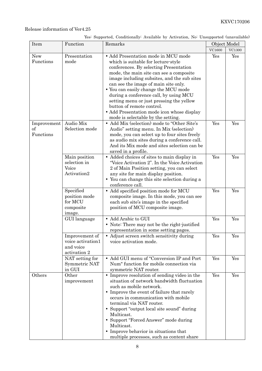| Yes: Supported, Conditionally: Available by Activation, No: Unsupported (unavailable) |  |  |  |
|---------------------------------------------------------------------------------------|--|--|--|

| Item                           | Function                                                         | Remarks                                                                                                                                                                                                                                                                                                                                                                                                                                                                                               | Object Model |               |
|--------------------------------|------------------------------------------------------------------|-------------------------------------------------------------------------------------------------------------------------------------------------------------------------------------------------------------------------------------------------------------------------------------------------------------------------------------------------------------------------------------------------------------------------------------------------------------------------------------------------------|--------------|---------------|
|                                |                                                                  |                                                                                                                                                                                                                                                                                                                                                                                                                                                                                                       | VC1600       | <b>VC1300</b> |
| <b>New</b><br>Functions        | Presentation<br>mode<br>Audio Mix                                | • Add Presentation mode in MCU mode<br>which is suitable for lecture-style<br>conferences. By selecting Presentation<br>mode, the main site can see a composite<br>image including subsites, and the sub sites<br>can see the image of main site only.<br>• You can easily change the MCU mode<br>during a conference call, by using MCU<br>setting menu or just pressing the yellow<br>button of remote control.<br>• Add Presentation mode icon whose display<br>mode is selectable by the setting. | Yes<br>Yes   | Yes<br>Yes    |
| Improvement<br>of<br>Functions | Selection mode                                                   | • Add Mix (selection) mode to "Other Site's<br>Audio" setting menu. In Mix (selection)<br>mode, you can select up to four sites freely<br>as audio mix sites during a conference call.<br>And its Mix mode and sites selection can be<br>saved in a profile.                                                                                                                                                                                                                                          |              |               |
|                                | Main position<br>selection in<br>Voice<br>Activation2            | • Added choices of sites to main display in<br>"Voice Activation 2". In the Voice Activation<br>2 of Main Position setting, you can select<br>any site for main display position.<br>• You can change this site selection during a<br>conference call.                                                                                                                                                                                                                                                | Yes          | Yes           |
|                                | Specified<br>position mode<br>for MCU<br>composite<br>image.     | Add specified position mode for MCU<br>$\bullet$<br>composite image. In this mode, you can see<br>each sub site's image in the specified<br>position of MCU composite image.                                                                                                                                                                                                                                                                                                                          | Yes          | Yes           |
|                                | GUI language                                                     | • Add Arabic to GUI<br>• Note: There may not be the right-justified<br>representation in some setting pages.                                                                                                                                                                                                                                                                                                                                                                                          | Yes          | Yes           |
|                                | Improvement of<br>voice activation1<br>and voice<br>activation 2 | • Adjust screen switch sensitivity during<br>voice activation mode.                                                                                                                                                                                                                                                                                                                                                                                                                                   | Yes          | Yes           |
|                                | NAT setting for<br>Symmetric NAT<br>in GUI                       | • Add GUI menu of "Conversion IP and Port<br>Num" function for mobile connection via<br>symmetric NAT router.                                                                                                                                                                                                                                                                                                                                                                                         | Yes          | Yes           |
| Others                         | Other<br>improvement                                             | • Improve resolution of sending video in the<br>situation of network bandwidth fluctuation<br>such as mobile network.<br>• Improve the event of failure that rarely<br>occurs in communication with mobile<br>terminal via NAT router.<br>• Support "output local site sound" during<br>Multicast.<br>• Support "Forced Answer" mode during<br>Multicast.<br>• Improve behavior in situations that<br>multiple processes, such as content share                                                       | Yes          | Yes           |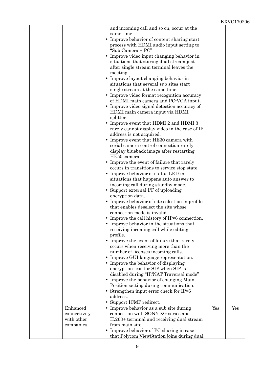|                                        | and incoming call and so on, occur at the<br>same time.<br>• Improve behavior of content sharing start<br>process with HDMI audio input setting to |     |     |
|----------------------------------------|----------------------------------------------------------------------------------------------------------------------------------------------------|-----|-----|
|                                        | "Sub Camera + PC"<br>• Improve video input changing behavior in                                                                                    |     |     |
|                                        | situations that staring dual stream just<br>after single stream terminal leaves the<br>meeting.                                                    |     |     |
|                                        | • Improve layout changing behavior in<br>situations that several sub sites start                                                                   |     |     |
|                                        | single stream at the same time.<br>• Improve video format recognition accuracy<br>of HDMI main camera and PC-VGA input.                            |     |     |
|                                        | • Improve video signal detection accuracy of<br>HDMI main camera input via HDMI<br>splitter.                                                       |     |     |
|                                        | • Improve event that HDMI 2 and HDMI 3<br>rarely cannot display video in the case of IP<br>address is not acquired.                                |     |     |
|                                        | • Improve event that HE30 camera with<br>serial camera control connection rarely                                                                   |     |     |
|                                        | display blueback image after restarting<br>HE50 camera.                                                                                            |     |     |
|                                        | • Improve the event of failure that rarely<br>occurs in transitions to service stop state.                                                         |     |     |
|                                        | • Improve behavior of status LED in<br>situations that happens auto answer to                                                                      |     |     |
|                                        | incoming call during standby mode.<br>• Support external I/F of uploading                                                                          |     |     |
|                                        | encryption data.<br>• Improve behavior of site selection in profile<br>that enables deselect the site whose                                        |     |     |
|                                        | connection mode is invalid.<br>• Improve the call history of IPv6 connection.                                                                      |     |     |
|                                        | • Improve behavior in the situations that<br>receiving incoming call while editing<br>profile.                                                     |     |     |
|                                        | • Improve the event of failure that rarely<br>occurs when receiving more than the                                                                  |     |     |
|                                        | number of licenses incoming calls.<br>• Improve GUI language representation.                                                                       |     |     |
|                                        | • Improve the behavior of displaying<br>encryption icon for SIP when SIP is                                                                        |     |     |
|                                        | disabled during "IP/NAT Traversal mode"<br>• Improve the behavior of changing Main                                                                 |     |     |
|                                        | Position setting during communication.<br>• Strengthen input error check for IPv6                                                                  |     |     |
|                                        | address.<br>• Support ICMP redirect.                                                                                                               |     |     |
| Enhanced<br>connectivity<br>with other | • Improve behavior as a sub site during<br>connection with SONY XG series and<br>H.263+ terminal and receiving dual stream                         | Yes | Yes |
| companies                              | from main site.<br>• Improve behavior of PC sharing in case<br>that Polycom ViewStation joins during dual                                          |     |     |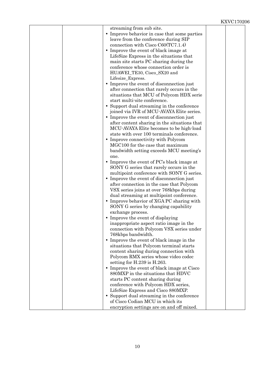| streaming from sub site.<br>• Improve behavior in case that some parties                |  |
|-----------------------------------------------------------------------------------------|--|
| leave from the conference during SIP                                                    |  |
| connection with Cisco $C60(TC7.1.4)$                                                    |  |
| • Improve the event of black image at                                                   |  |
| LifeSize Express in the situations that                                                 |  |
| main site starts PC sharing during the                                                  |  |
| conference whose connection order is                                                    |  |
| HUAWEI_TE30, Cisco_SX20 and                                                             |  |
| Lifesize_Express.                                                                       |  |
| • Improve the event of disconnection just                                               |  |
| after connection that rarely occurs in the                                              |  |
| situations that MCU of Polycom HDX serie                                                |  |
| start multi-site conference.                                                            |  |
| • Support dual streaming in the conference<br>joined via IVR of MCU-AVAYA Elite series. |  |
| • Improve the event of disconnection just                                               |  |
| after content sharing in the situations that                                            |  |
| MCU-AVAYA Elite becomes to be high-load                                                 |  |
| state with over 100 terminals conference.                                               |  |
| • Improve connectivity with Polycom                                                     |  |
| MGC100 for the case that maximum                                                        |  |
| bandwidth setting exceeds MCU meeting's                                                 |  |
| one.                                                                                    |  |
| • Improve the event of $PC$ 's black image at                                           |  |
| SONY G series that rarely occurs in the                                                 |  |
| multipoint conference with SONY G series.                                               |  |
| Improve the event of disconnection just                                                 |  |
| after connection in the case that Polycom                                               |  |
| VSX series joins at over 768kbps during                                                 |  |
| dual streaming at multipoint conference.                                                |  |
| • Improve behavior of XGA PC sharing with                                               |  |
| SONY G series by changing capability                                                    |  |
| exchange process.                                                                       |  |
| Improve the event of displaying                                                         |  |
| inappropriate aspect ratio image in the<br>connection with Polycom VSX series under     |  |
| 768kbps bandwidth.                                                                      |  |
| • Improve the event of black image in the                                               |  |
| situations that Polycom terminal starts                                                 |  |
| content sharing during connection with                                                  |  |
| Polycom RMX series whose video codec                                                    |  |
| setting for $H.239$ is $H.263$ .                                                        |  |
| • Improve the event of black image at Cisco                                             |  |
| 880MXP in the situations that HDVC                                                      |  |
| starts PC content sharing during                                                        |  |
| conference with Polycom HDX series,                                                     |  |
| LifeSize Express and Cisco 880MXP.                                                      |  |
| • Support dual streaming in the conference                                              |  |
| of Cisco Codian MCU in which its                                                        |  |
| encryption settings are on and off mixed.                                               |  |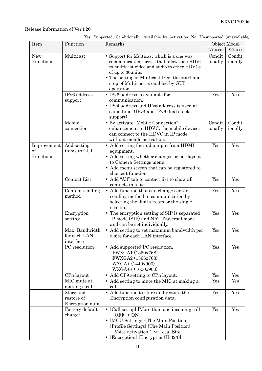| Yes: Supported, Conditionally: Available by Activation, No: Unsupported (unavailable) |  |  |  |  |  |
|---------------------------------------------------------------------------------------|--|--|--|--|--|
|---------------------------------------------------------------------------------------|--|--|--|--|--|

| Item                           | Function                                    | Remarks                                                                                                                                                                                                                                                             | Object Model      |                   |
|--------------------------------|---------------------------------------------|---------------------------------------------------------------------------------------------------------------------------------------------------------------------------------------------------------------------------------------------------------------------|-------------------|-------------------|
|                                |                                             |                                                                                                                                                                                                                                                                     | VC1600            | VC1300            |
| New<br>Functions               | Multicast                                   | • Support for Multicast which is a one-way<br>communication service that allows one HDVC<br>to multicast video and audio to other HDVCs<br>of up to 30units.<br>• The setting of Multicast tree, the start and<br>stop of Multicast is enabled by GUI<br>operation. | Condit<br>ionally | Condit<br>ionally |
|                                | IPv6 address<br>support                     | • IPv6 address is available for<br>communication.<br>• IPv4 address and IPv6 address is used at<br>same time. (IPv4 and IPv6 dual stack<br>support)                                                                                                                 | Yes               | Yes               |
|                                | Mobile<br>connection                        | • By activate "Mobile Connection"<br>enhancement to HDVC, the mobile devices<br>can connect to the HDVC in IP mode<br>without mobile activation.                                                                                                                    | Condit<br>ionally | Condit<br>ionally |
| Improvement<br>of<br>Functions | Add setting<br>items to GUI                 | • Add setting for audio input from HDMI<br>equipment.<br>• Add setting whether changes or not layout<br>to Camera Settings menu.<br>• Add menu screen that can be registered to<br>shortcut function.                                                               | Yes               | Yes               |
|                                | Contact List                                | • Add "All" tab to contact list to show all<br>contacts in a list.                                                                                                                                                                                                  | Yes               | Yes               |
|                                | Content sending<br>method                   | • Add function that can change content<br>sending method in communication by<br>selecting the dual stream or the single<br>stream.                                                                                                                                  | Yes               | Yes               |
|                                | Encryption<br>setting                       | • The encryption setting of SIP is separated<br>IP mode (SIP) and NAT Traversal mode<br>and can be set individually.                                                                                                                                                | Yes               | Yes               |
|                                | Max. Bandwidth<br>for each LAN<br>interface | • Add setting to set maximum bandwidth per<br>a site for each LAN interface.                                                                                                                                                                                        | Yes               | Yes               |
|                                | PC resolution                               | • Add supported PC resolution.<br>FWXGA1 (1360x768)<br>FWXGA2 (1366x768)<br>WXGA+ (1440x900)<br>WXGA++ (1600x900)                                                                                                                                                   | Yes               | Yes               |
|                                | CPn layout                                  | • Add CP9 setting to CPn layout.                                                                                                                                                                                                                                    | Yes               | Yes               |
|                                | MIC mute at<br>making a call                | • Add setting to mute the MIC at making a<br>call                                                                                                                                                                                                                   | Yes               | Yes               |
|                                | Store and<br>restore of<br>Encryption data  | • Add function to store and restore the<br>Encryption configuration data.                                                                                                                                                                                           | Yes               | Yes               |
|                                | Factory default<br>change                   | • [Call set up] [More than one incoming call]<br>$OFF \ge ON$<br>[MCU Settings] - [The Main Position]<br>[Profile Settings] [The Main Position]<br>Voice activation 1 -> Local Site<br>[Encryption]-[Encryption(H.323)]<br>$\bullet$                                | Yes               | Yes               |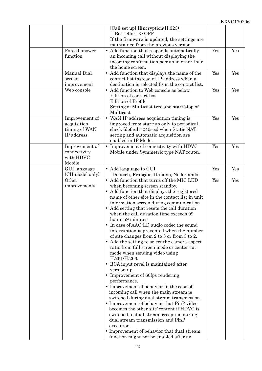|                 | [Call set up] [Encryption(H.323)]<br>Best effort -> OFF        |     |     |
|-----------------|----------------------------------------------------------------|-----|-----|
|                 | If the firmware is updated, the settings are                   |     |     |
|                 | maintained from the previous version.                          |     |     |
| Forced answer   | • Add function that responds automatically                     | Yes | Yes |
| function        | an incoming call without displaying the                        |     |     |
|                 | incoming confirmation pop-up in other than                     |     |     |
|                 | the home screen.                                               |     |     |
| Manual Dial     | $\bullet\,$ Add function that displays the name of the         | Yes | Yes |
| screen          | contact list instead of IP address when a                      |     |     |
| improvement     | destination is selected from the contact list.                 |     |     |
| Web console     | • Add function to Web console as below.                        | Yes | Yes |
|                 | Edition of contact list                                        |     |     |
|                 | <b>Edition of Profile</b>                                      |     |     |
|                 | Setting of Multicast tree and start/stop of<br>Multicast       |     |     |
| Improvement of  | • WAN IP address acquisition timing is                         | Yes | Yes |
| acquisition     | improved from start-up only to periodical                      |     |     |
| timing of WAN   | check (default: 240sec) when Static NAT                        |     |     |
| IP address      | setting and automatic acquisition are                          |     |     |
|                 | enabled in IP Mode.                                            |     |     |
| Improvement of  | • Improvement of connectivity with HDVC                        | Yes | Yes |
| connectivity    | Mobile under Symmetric type NAT router.                        |     |     |
| with HDVC       |                                                                |     |     |
| Mobile          |                                                                |     |     |
| GUI language    | • Add language to GUI                                          | Yes | Yes |
| (CH model only) | Deutsch, Français, Italiano, Nederlands                        |     |     |
| Other           | • Add function that turns off the MIC LED                      | Yes | Yes |
| improvements    | when becoming screen standby.                                  |     |     |
|                 | • Add function that displays the registered                    |     |     |
|                 | name of other site in the contact list in unit                 |     |     |
|                 | information screen during communication                        |     |     |
|                 | • Add setting that resets the call duration                    |     |     |
|                 | when the call duration time exceeds 99                         |     |     |
|                 | hours 59 minutes.<br>• In case of AAC-LD audio codec the sound |     |     |
|                 | interruption is prevented when the number                      |     |     |
|                 | of site changes from 2 to 3 or from 3 to 2.                    |     |     |
|                 | • Add the setting to select the camera aspect                  |     |     |
|                 | ratio from full screen mode or center-cut                      |     |     |
|                 | mode when sending video using                                  |     |     |
|                 | H.261/H.263.                                                   |     |     |
|                 | • RCA input revel is maintained after                          |     |     |
|                 | version up.                                                    |     |     |
|                 | • Improvement of 60fps rendering                               |     |     |
|                 | performance.                                                   |     |     |
|                 | • Improvement of behavior in the case of                       |     |     |
|                 | incoming call when the main stream is                          |     |     |
|                 | switched during dual stream transmission.                      |     |     |
|                 | • Improvement of behavior that PinP video                      |     |     |
|                 | becomes the other site' content if HDVC is                     |     |     |
|                 | switched to dual stream reception during                       |     |     |
|                 | dual stream transmission and PinP                              |     |     |
|                 | execution.<br>• Improvement of behavior that dual stream       |     |     |
|                 | function might not be enabled after an                         |     |     |
|                 |                                                                |     |     |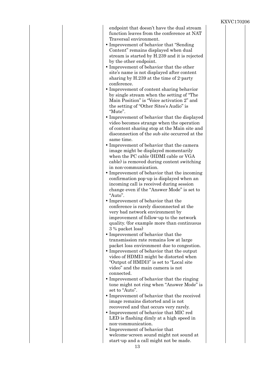| endpoint that doesn't have the dual stream<br>function leaves from the conference at NAT<br>Traversal environment.<br>• Improvement of behavior that "Sending"<br>Content" remains displayed when dual<br>stream is started by H.239 and it is rejected<br>by the other endpoint.<br>• Improvement of behavior that the other<br>site's name is not displayed after content<br>sharing by H.239 at the time of 2-party<br>conference. |
|---------------------------------------------------------------------------------------------------------------------------------------------------------------------------------------------------------------------------------------------------------------------------------------------------------------------------------------------------------------------------------------------------------------------------------------|
| • Improvement of content sharing behavior<br>by single stream when the setting of "The<br>Main Position" is "Voice activation 2" and<br>the setting of "Other Sites's Audio" is<br>"Mute".                                                                                                                                                                                                                                            |
| • Improvement of behavior that the displayed<br>video becomes strange when the operation<br>of content sharing stop at the Main site and<br>disconnection of the sub site occurred at the<br>same time.                                                                                                                                                                                                                               |
| • Improvement of behavior that the camera<br>image might be displayed momentarily<br>when the PC cable (HDMI cable or VGA<br>cable) is removed during content switching<br>in non-communication.                                                                                                                                                                                                                                      |
| • Improvement of behavior that the incoming<br>confirmation pop-up is displayed when an<br>incoming call is received during session<br>change even if the "Answer Mode" is set to<br>"Auto".                                                                                                                                                                                                                                          |
| • Improvement of behavior that the<br>conference is rarely disconnected at the<br>very bad network environment by<br>improvement of follow-up to the network<br>quality. (for example more than continuous                                                                                                                                                                                                                            |
| 3 % packet loss)<br>• Improvement of behavior that the<br>transmission rate remains low at large<br>packet loss environment due to congestion.<br>• Improvement of behavior that the output                                                                                                                                                                                                                                           |
| video of HDMI3 might be distorted when<br>"Output of HMDI3" is set to "Local site<br>video" and the main camera is not<br>connected.                                                                                                                                                                                                                                                                                                  |
| • Improvement of behavior that the ringing<br>tone might not ring when "Answer Mode" is<br>set to "Auto".<br>• Improvement of behavior that the received                                                                                                                                                                                                                                                                              |
| image remains distorted and is not<br>recovered and that occurs very rarely.<br>• Improvement of behavior that MIC red<br>LED is flashing dimly at a high speed in                                                                                                                                                                                                                                                                    |
| non-communication.<br>• Improvement of behavior that<br>welcome-screen sound might not sound at<br>start-up and a call might not be made.<br>1 2                                                                                                                                                                                                                                                                                      |

#### 13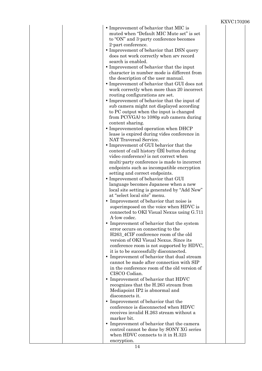|                                                                                       | IYV A |
|---------------------------------------------------------------------------------------|-------|
| • Improvement of behavior that MIC is<br>muted when "Default MIC Mute set" is set     |       |
| to "ON" and 3-party conference becomes                                                |       |
| 2-part conference.                                                                    |       |
| • Improvement of behavior that DSN query<br>does not work correctly when srv record   |       |
| search is enabled.                                                                    |       |
| • Improvement of behavior that the input                                              |       |
| character in number mode is different from                                            |       |
| the description of the user manual.                                                   |       |
| • Improvement of behavior that GUI does not                                           |       |
| work correctly when more than 20 incorrect<br>routing configurations are set.         |       |
| • Improvement of behavior that the input of                                           |       |
| sub camera might not displayed according                                              |       |
| to PC output when the input is changed                                                |       |
| from PC(VGA) to 1080p sub camera during                                               |       |
| content sharing.                                                                      |       |
| • Improvemented operation when DHCP                                                   |       |
| lease is expired during vides conference in<br>NAT Traversal Service.                 |       |
| • Improvement of GUI behavior that the                                                |       |
| content of call history ([B] button during                                            |       |
| video conference) is not correct when                                                 |       |
| multi-party conference is made to incorrect                                           |       |
| endpoints such as incompatible encryption                                             |       |
| setting and correct endpoints.<br>• Improvement of behavior that GUI                  |       |
| language becomes Japanese when a new                                                  |       |
| local site setting is generated by "Add New"                                          |       |
| at "select local site" menu.                                                          |       |
| • Improvement of behavior that noise is                                               |       |
| superimposed on the voice when HDVC is                                                |       |
| connected to OKI Visual Nexus using G.711<br>A-low codec.                             |       |
| • Improvement of behavior that the system                                             |       |
| error occurs on connecting to the                                                     |       |
| H263_4CIF conference room of the old                                                  |       |
| version of OKI Visual Nexus. Since its                                                |       |
| conference room is not supported by HDVC,<br>it is to be successfully disconnected.   |       |
| • Improvement of behavior that dual stream                                            |       |
| cannot be made after connection with SIP                                              |       |
| in the conference room of the old version of                                          |       |
| CISCO Codian.                                                                         |       |
| • Improvement of behavior that HDVC                                                   |       |
| recognizes that the H.263 stream from<br>Mediapoint IP2 is abnormal and               |       |
| disconnects it.                                                                       |       |
| • Improvement of behavior that the                                                    |       |
| conference is disconnected when HDVC                                                  |       |
| receives invalid H.263 stream without a                                               |       |
| marker bit.                                                                           |       |
| • Improvement of behavior that the camera<br>control cannot be done by SONY XG series |       |
| when HDVC connects to it in H.323                                                     |       |
| encryption.                                                                           |       |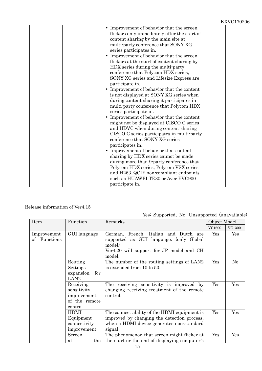|                                                                                                                                                                                                                                                                                                                                                                                                                                                                                                                                                                                                                                                                                                                                                                                                                                                                                                                                                                                                                                                                                                                                                                     | <b>KXVC170206</b> |
|---------------------------------------------------------------------------------------------------------------------------------------------------------------------------------------------------------------------------------------------------------------------------------------------------------------------------------------------------------------------------------------------------------------------------------------------------------------------------------------------------------------------------------------------------------------------------------------------------------------------------------------------------------------------------------------------------------------------------------------------------------------------------------------------------------------------------------------------------------------------------------------------------------------------------------------------------------------------------------------------------------------------------------------------------------------------------------------------------------------------------------------------------------------------|-------------------|
| • Improvement of behavior that the screen<br>flickers only immediately after the start of<br>content sharing by the main site at<br>multi-party conference that SONY XG<br>series participates in.<br>• Improvement of behavior that the screen<br>flickers at the start of content sharing by<br>HDX series during the multi-party<br>conference that Polycom HDX series,<br>SONY XG series and Lifesize Express are<br>participate in.<br>• Improvement of behavior that the content<br>is not displayed at SONY XG series when<br>during content sharing it participates in<br>multi-party conference that Polycom HDX<br>series participate in.<br>• Improvement of behavior that the content<br>might not be displayed at CISCO C series<br>and HDVC when during content sharing<br>CISCO C series participates in multi-party<br>conference that SONY XG series<br>participates in.<br>• Improvement of behavior that content<br>sharing by HDX series cannot be made<br>during more than 9-party conference that<br>Polycom HDX series, Polycom VSX series<br>and H263_QCIF non-compliant endpoints<br>such as HUAWEI TE30 or Aver EVC900<br>participate in. |                   |

#### Release information of Ver4.15

#### Yes: Supported, No: Unsupported (unavailable)

| Item                           | Remarks<br>Function                                                 |                                                                                                                                                     | Object Model         |               |
|--------------------------------|---------------------------------------------------------------------|-----------------------------------------------------------------------------------------------------------------------------------------------------|----------------------|---------------|
|                                |                                                                     |                                                                                                                                                     | <b>VC1600</b>        | <b>VC1300</b> |
| Improvement<br>Functions<br>of | GUI language                                                        | German, French, Italian and Dutch are<br>supported as GUI language. (only Global<br>model)<br>Ver4.20 will support for JP model and CH<br>model.    | $\operatorname{Yes}$ | Yes           |
|                                | Routing<br>Settings<br>expansion<br>for<br>LAN <sub>2</sub>         | The number of the routing settings of LAN2<br>is extended from 10 to 50.                                                                            | Yes                  | No            |
|                                | Receiving<br>sensitivity<br>improvement<br>of the remote<br>control | The receiving sensitivity is improved by<br>changing receiving treatment of the remote<br>control.                                                  | Yes                  | Yes           |
|                                | HDMI<br>Equipment<br>connectivity<br>improvement                    | The connect ability of the HDMI equipment is<br>improved by changing the detection process,<br>when a HDMI device generates non-standard<br>signal. | Yes                  | Yes           |
|                                | Screen<br>the  <br>at                                               | The phenomenon that screen might flicker at<br>the start or the end of displaying computer's                                                        | Yes                  | Yes           |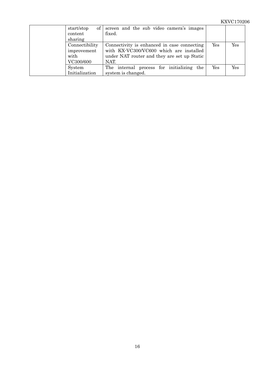| $\ $<br>start/stop<br>content<br>sharing           | screen and the sub video camera's images<br>fixed.                                                                                            |     |     |
|----------------------------------------------------|-----------------------------------------------------------------------------------------------------------------------------------------------|-----|-----|
| Connectibility<br>improvement<br>with<br>VC300/600 | Connectivity is enhanced in case connecting<br>with KX-VC300/VC600 which are installed<br>under NAT router and they are set up Static<br>NAT. | Yes | Yes |
| System<br>Initialization                           | The internal process for initializing the<br>system is changed.                                                                               | Yes | Yes |